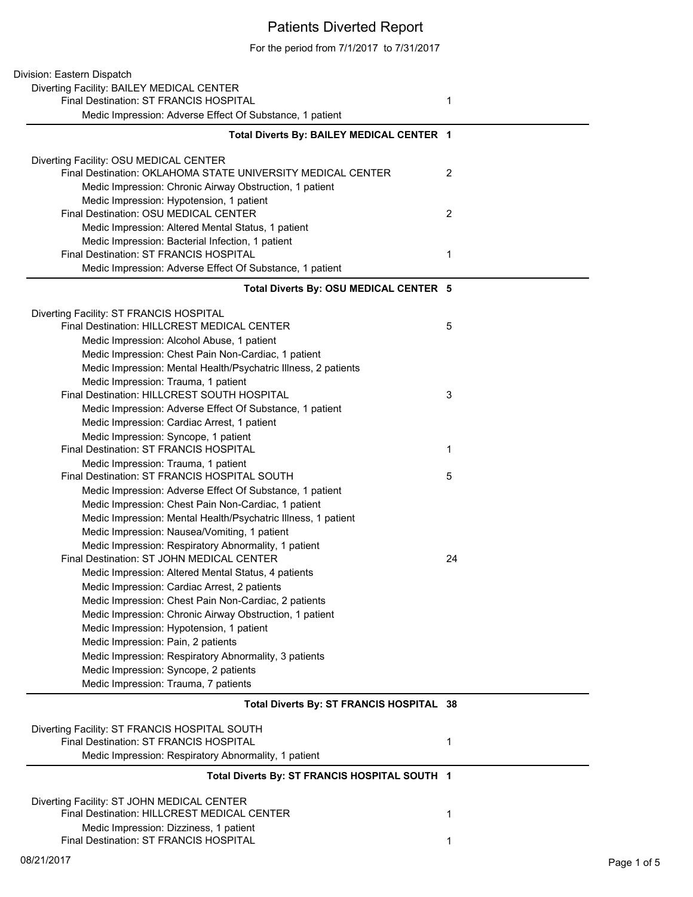## Patients Diverted Report

For the period from 7/1/2017 to 7/31/2017

| Division: Eastern Dispatch                                                                           |                |
|------------------------------------------------------------------------------------------------------|----------------|
| Diverting Facility: BAILEY MEDICAL CENTER                                                            |                |
| Final Destination: ST FRANCIS HOSPITAL                                                               | $\mathbf{1}$   |
| Medic Impression: Adverse Effect Of Substance, 1 patient                                             |                |
| Total Diverts By: BAILEY MEDICAL CENTER 1                                                            |                |
| Diverting Facility: OSU MEDICAL CENTER                                                               |                |
| Final Destination: OKLAHOMA STATE UNIVERSITY MEDICAL CENTER                                          | 2              |
| Medic Impression: Chronic Airway Obstruction, 1 patient                                              |                |
| Medic Impression: Hypotension, 1 patient                                                             |                |
| Final Destination: OSU MEDICAL CENTER                                                                | $\overline{2}$ |
| Medic Impression: Altered Mental Status, 1 patient                                                   |                |
| Medic Impression: Bacterial Infection, 1 patient                                                     |                |
| Final Destination: ST FRANCIS HOSPITAL                                                               | 1              |
| Medic Impression: Adverse Effect Of Substance, 1 patient                                             |                |
| Total Diverts By: OSU MEDICAL CENTER 5                                                               |                |
| Diverting Facility: ST FRANCIS HOSPITAL                                                              |                |
| Final Destination: HILLCREST MEDICAL CENTER                                                          | 5              |
| Medic Impression: Alcohol Abuse, 1 patient                                                           |                |
| Medic Impression: Chest Pain Non-Cardiac, 1 patient                                                  |                |
| Medic Impression: Mental Health/Psychatric Illness, 2 patients                                       |                |
| Medic Impression: Trauma, 1 patient                                                                  |                |
| Final Destination: HILLCREST SOUTH HOSPITAL                                                          | 3              |
| Medic Impression: Adverse Effect Of Substance, 1 patient                                             |                |
| Medic Impression: Cardiac Arrest, 1 patient                                                          |                |
| Medic Impression: Syncope, 1 patient                                                                 |                |
| Final Destination: ST FRANCIS HOSPITAL                                                               | 1              |
| Medic Impression: Trauma, 1 patient                                                                  |                |
| Final Destination: ST FRANCIS HOSPITAL SOUTH                                                         | 5              |
| Medic Impression: Adverse Effect Of Substance, 1 patient                                             |                |
| Medic Impression: Chest Pain Non-Cardiac, 1 patient                                                  |                |
| Medic Impression: Mental Health/Psychatric Illness, 1 patient                                        |                |
| Medic Impression: Nausea/Vomiting, 1 patient                                                         |                |
| Medic Impression: Respiratory Abnormality, 1 patient<br>Final Destination: ST JOHN MEDICAL CENTER    |                |
|                                                                                                      | 24             |
| Medic Impression: Altered Mental Status, 4 patients                                                  |                |
| Medic Impression: Cardiac Arrest, 2 patients<br>Medic Impression: Chest Pain Non-Cardiac, 2 patients |                |
| Medic Impression: Chronic Airway Obstruction, 1 patient                                              |                |
| Medic Impression: Hypotension, 1 patient                                                             |                |
| Medic Impression: Pain, 2 patients                                                                   |                |
| Medic Impression: Respiratory Abnormality, 3 patients                                                |                |
| Medic Impression: Syncope, 2 patients                                                                |                |
| Medic Impression: Trauma, 7 patients                                                                 |                |
|                                                                                                      |                |
| Total Diverts By: ST FRANCIS HOSPITAL 38                                                             |                |
|                                                                                                      |                |
| Diverting Facility: ST FRANCIS HOSPITAL SOUTH                                                        |                |
| Final Destination: ST FRANCIS HOSPITAL                                                               | 1              |
| Medic Impression: Respiratory Abnormality, 1 patient                                                 |                |
| Total Diverts By: ST FRANCIS HOSPITAL SOUTH 1                                                        |                |
| Diverting Facility: ST JOHN MEDICAL CENTER                                                           |                |
| Final Destination: HILLCREST MEDICAL CENTER                                                          | 1              |
| Medic Impression: Dizziness, 1 patient                                                               |                |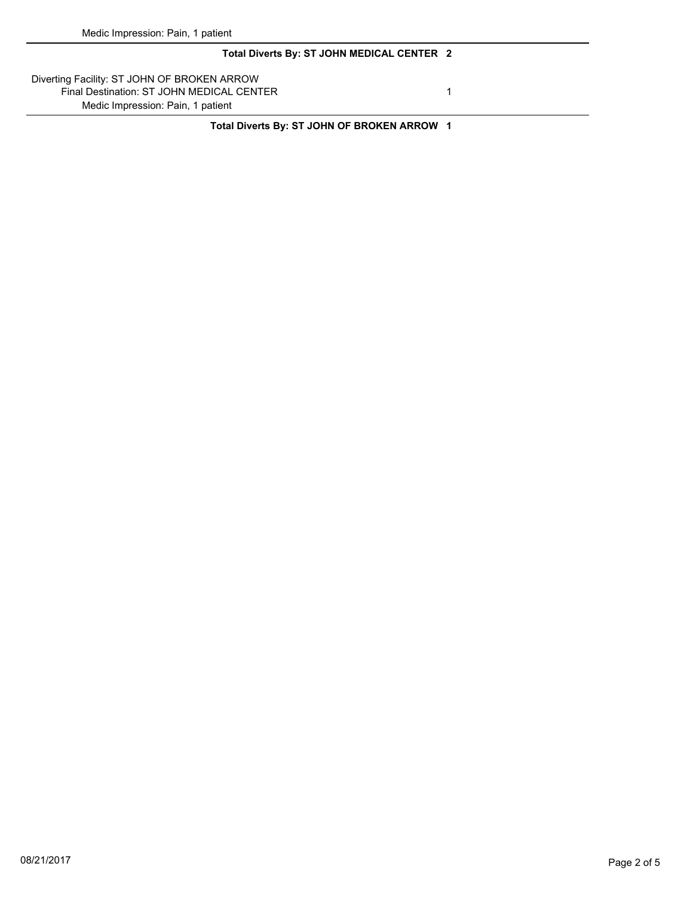## **Total Diverts By: ST JOHN MEDICAL CENTER 2**

Diverting Facility: ST JOHN OF BROKEN ARROW Final Destination: ST JOHN MEDICAL CENTER 1 Medic Impression: Pain, 1 patient

**Total Diverts By: ST JOHN OF BROKEN ARROW 1**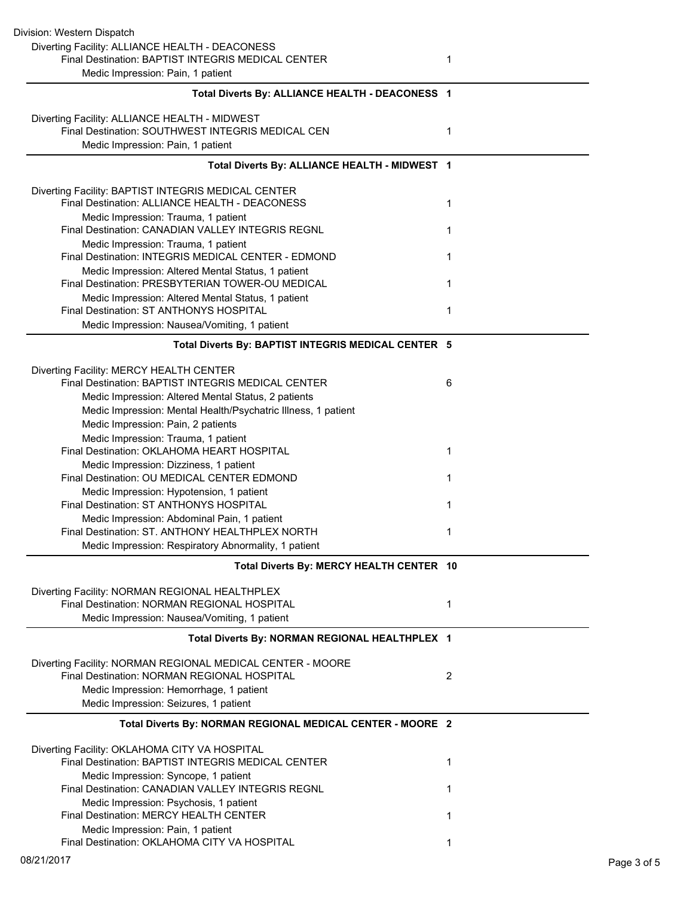| Division: Western Dispatch                                                                             |                |
|--------------------------------------------------------------------------------------------------------|----------------|
| Diverting Facility: ALLIANCE HEALTH - DEACONESS                                                        |                |
| Final Destination: BAPTIST INTEGRIS MEDICAL CENTER                                                     | 1              |
| Medic Impression: Pain, 1 patient                                                                      |                |
| Total Diverts By: ALLIANCE HEALTH - DEACONESS 1                                                        |                |
| Diverting Facility: ALLIANCE HEALTH - MIDWEST                                                          |                |
| Final Destination: SOUTHWEST INTEGRIS MEDICAL CEN                                                      | 1              |
| Medic Impression: Pain, 1 patient                                                                      |                |
| Total Diverts By: ALLIANCE HEALTH - MIDWEST 1                                                          |                |
| Diverting Facility: BAPTIST INTEGRIS MEDICAL CENTER                                                    |                |
| Final Destination: ALLIANCE HEALTH - DEACONESS                                                         | 1              |
| Medic Impression: Trauma, 1 patient                                                                    |                |
| Final Destination: CANADIAN VALLEY INTEGRIS REGNL                                                      | 1              |
| Medic Impression: Trauma, 1 patient                                                                    |                |
| Final Destination: INTEGRIS MEDICAL CENTER - EDMOND                                                    | 1              |
| Medic Impression: Altered Mental Status, 1 patient<br>Final Destination: PRESBYTERIAN TOWER-OU MEDICAL | 1              |
| Medic Impression: Altered Mental Status, 1 patient                                                     |                |
| Final Destination: ST ANTHONYS HOSPITAL                                                                | 1              |
| Medic Impression: Nausea/Vomiting, 1 patient                                                           |                |
| Total Diverts By: BAPTIST INTEGRIS MEDICAL CENTER 5                                                    |                |
| Diverting Facility: MERCY HEALTH CENTER                                                                |                |
| Final Destination: BAPTIST INTEGRIS MEDICAL CENTER                                                     | 6              |
| Medic Impression: Altered Mental Status, 2 patients                                                    |                |
| Medic Impression: Mental Health/Psychatric Illness, 1 patient                                          |                |
| Medic Impression: Pain, 2 patients                                                                     |                |
| Medic Impression: Trauma, 1 patient                                                                    |                |
| Final Destination: OKLAHOMA HEART HOSPITAL                                                             | 1              |
| Medic Impression: Dizziness, 1 patient                                                                 |                |
| Final Destination: OU MEDICAL CENTER EDMOND                                                            | 1              |
| Medic Impression: Hypotension, 1 patient<br>Final Destination: ST ANTHONYS HOSPITAL                    | 1              |
| Medic Impression: Abdominal Pain, 1 patient                                                            |                |
| Final Destination: ST. ANTHONY HEALTHPLEX NORTH                                                        | 1              |
| Medic Impression: Respiratory Abnormality, 1 patient                                                   |                |
| Total Diverts By: MERCY HEALTH CENTER 10                                                               |                |
| Diverting Facility: NORMAN REGIONAL HEALTHPLEX                                                         |                |
| <b>Final Destination: NORMAN REGIONAL HOSPITAL</b>                                                     | 1              |
| Medic Impression: Nausea/Vomiting, 1 patient                                                           |                |
| Total Diverts By: NORMAN REGIONAL HEALTHPLEX 1                                                         |                |
| Diverting Facility: NORMAN REGIONAL MEDICAL CENTER - MOORE                                             |                |
| Final Destination: NORMAN REGIONAL HOSPITAL                                                            | $\overline{2}$ |
| Medic Impression: Hemorrhage, 1 patient                                                                |                |
| Medic Impression: Seizures, 1 patient                                                                  |                |
| Total Diverts By: NORMAN REGIONAL MEDICAL CENTER - MOORE 2                                             |                |
| Diverting Facility: OKLAHOMA CITY VA HOSPITAL                                                          |                |
| Final Destination: BAPTIST INTEGRIS MEDICAL CENTER                                                     | 1              |
| Medic Impression: Syncope, 1 patient                                                                   |                |
| Final Destination: CANADIAN VALLEY INTEGRIS REGNL                                                      | 1              |
| Medic Impression: Psychosis, 1 patient                                                                 |                |
| Final Destination: MERCY HEALTH CENTER                                                                 | 1              |
| Medic Impression: Pain, 1 patient<br>Final Destination: OKLAHOMA CITY VA HOSPITAL                      |                |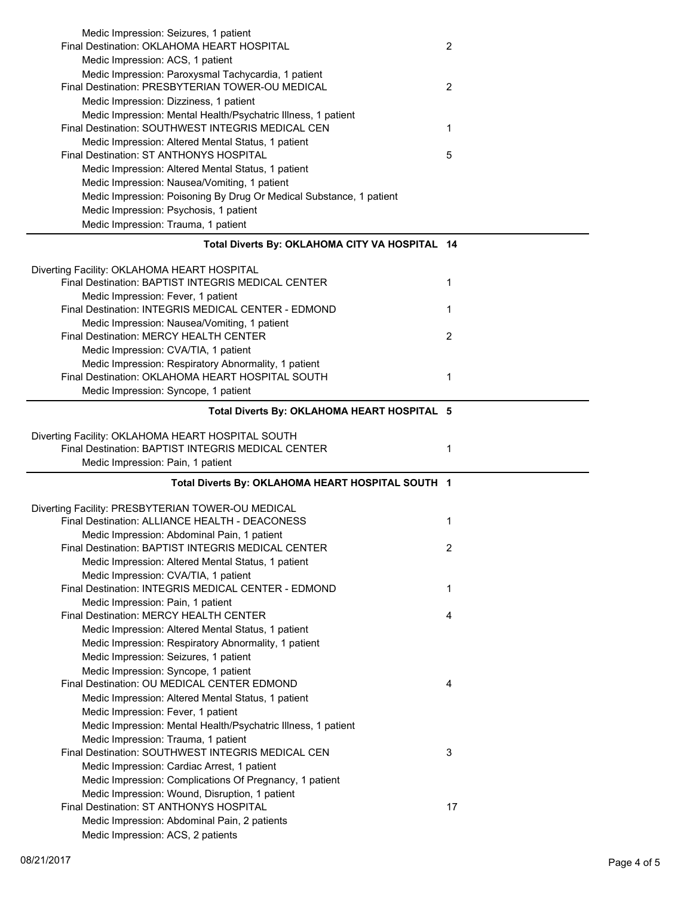| Medic Impression: Seizures, 1 patient                                                     |                |
|-------------------------------------------------------------------------------------------|----------------|
| Final Destination: OKLAHOMA HEART HOSPITAL                                                | $\overline{2}$ |
| Medic Impression: ACS, 1 patient                                                          |                |
| Medic Impression: Paroxysmal Tachycardia, 1 patient                                       |                |
| Final Destination: PRESBYTERIAN TOWER-OU MEDICAL                                          | $\overline{2}$ |
| Medic Impression: Dizziness, 1 patient                                                    |                |
| Medic Impression: Mental Health/Psychatric Illness, 1 patient                             |                |
| Final Destination: SOUTHWEST INTEGRIS MEDICAL CEN                                         | 1              |
| Medic Impression: Altered Mental Status, 1 patient                                        |                |
| Final Destination: ST ANTHONYS HOSPITAL                                                   | 5              |
| Medic Impression: Altered Mental Status, 1 patient                                        |                |
| Medic Impression: Nausea/Vomiting, 1 patient                                              |                |
| Medic Impression: Poisoning By Drug Or Medical Substance, 1 patient                       |                |
| Medic Impression: Psychosis, 1 patient                                                    |                |
| Medic Impression: Trauma, 1 patient                                                       |                |
| Total Diverts By: OKLAHOMA CITY VA HOSPITAL 14                                            |                |
|                                                                                           |                |
| Diverting Facility: OKLAHOMA HEART HOSPITAL                                               |                |
| Final Destination: BAPTIST INTEGRIS MEDICAL CENTER                                        | 1              |
| Medic Impression: Fever, 1 patient                                                        |                |
| Final Destination: INTEGRIS MEDICAL CENTER - EDMOND                                       | $\mathbf{1}$   |
| Medic Impression: Nausea/Vomiting, 1 patient                                              |                |
| Final Destination: MERCY HEALTH CENTER                                                    | $\overline{2}$ |
| Medic Impression: CVA/TIA, 1 patient                                                      |                |
| Medic Impression: Respiratory Abnormality, 1 patient                                      |                |
| Final Destination: OKLAHOMA HEART HOSPITAL SOUTH                                          | 1              |
| Medic Impression: Syncope, 1 patient                                                      |                |
| Total Diverts By: OKLAHOMA HEART HOSPITAL 5                                               |                |
| Diverting Facility: OKLAHOMA HEART HOSPITAL SOUTH                                         |                |
|                                                                                           |                |
|                                                                                           |                |
| Final Destination: BAPTIST INTEGRIS MEDICAL CENTER                                        | 1              |
| Medic Impression: Pain, 1 patient                                                         |                |
| Total Diverts By: OKLAHOMA HEART HOSPITAL SOUTH 1                                         |                |
|                                                                                           |                |
| Diverting Facility: PRESBYTERIAN TOWER-OU MEDICAL                                         |                |
| Final Destination: ALLIANCE HEALTH - DEACONESS                                            | 1              |
| Medic Impression: Abdominal Pain, 1 patient                                               |                |
| Final Destination: BAPTIST INTEGRIS MEDICAL CENTER                                        | 2              |
| Medic Impression: Altered Mental Status, 1 patient                                        |                |
| Medic Impression: CVA/TIA, 1 patient                                                      |                |
| Final Destination: INTEGRIS MEDICAL CENTER - EDMOND                                       | 1              |
| Medic Impression: Pain, 1 patient                                                         |                |
| Final Destination: MERCY HEALTH CENTER                                                    | 4              |
| Medic Impression: Altered Mental Status, 1 patient                                        |                |
| Medic Impression: Respiratory Abnormality, 1 patient                                      |                |
| Medic Impression: Seizures, 1 patient                                                     |                |
| Medic Impression: Syncope, 1 patient                                                      |                |
| Final Destination: OU MEDICAL CENTER EDMOND                                               | 4              |
| Medic Impression: Altered Mental Status, 1 patient                                        |                |
| Medic Impression: Fever, 1 patient                                                        |                |
| Medic Impression: Mental Health/Psychatric Illness, 1 patient                             |                |
| Medic Impression: Trauma, 1 patient                                                       | 3              |
| Final Destination: SOUTHWEST INTEGRIS MEDICAL CEN                                         |                |
| Medic Impression: Cardiac Arrest, 1 patient                                               |                |
| Medic Impression: Complications Of Pregnancy, 1 patient                                   |                |
| Medic Impression: Wound, Disruption, 1 patient<br>Final Destination: ST ANTHONYS HOSPITAL | 17             |
|                                                                                           |                |
| Medic Impression: Abdominal Pain, 2 patients<br>Medic Impression: ACS, 2 patients         |                |